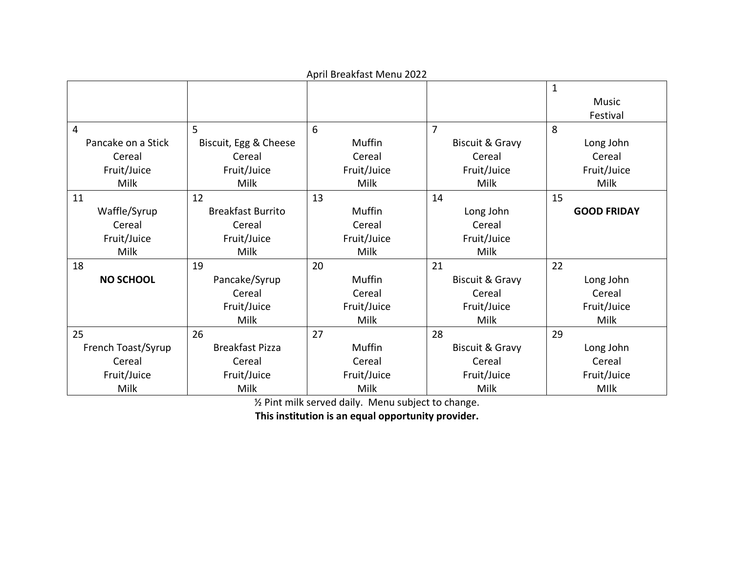| while becamage ividing 2022 |                          |             |                            |                    |  |  |
|-----------------------------|--------------------------|-------------|----------------------------|--------------------|--|--|
|                             |                          |             |                            | $\mathbf{1}$       |  |  |
|                             |                          |             |                            | Music              |  |  |
|                             |                          |             |                            | Festival           |  |  |
| $\overline{4}$              | 5                        | 6           | $\overline{7}$             | 8                  |  |  |
| Pancake on a Stick          | Biscuit, Egg & Cheese    | Muffin      | <b>Biscuit &amp; Gravy</b> | Long John          |  |  |
| Cereal                      | Cereal                   | Cereal      | Cereal                     | Cereal             |  |  |
| Fruit/Juice                 | Fruit/Juice              | Fruit/Juice | Fruit/Juice                | Fruit/Juice        |  |  |
| Milk                        | Milk                     | Milk        | Milk                       | Milk               |  |  |
| 11                          | 12                       | 13          | 14                         | 15                 |  |  |
| Waffle/Syrup                | <b>Breakfast Burrito</b> | Muffin      | Long John                  | <b>GOOD FRIDAY</b> |  |  |
| Cereal                      | Cereal                   | Cereal      | Cereal                     |                    |  |  |
| Fruit/Juice                 | Fruit/Juice              | Fruit/Juice | Fruit/Juice                |                    |  |  |
| Milk                        | Milk                     | Milk        | Milk                       |                    |  |  |
| 18                          | 19                       | 20          | 21                         | 22                 |  |  |
| <b>NO SCHOOL</b>            | Pancake/Syrup            | Muffin      | <b>Biscuit &amp; Gravy</b> | Long John          |  |  |
|                             | Cereal                   | Cereal      | Cereal                     | Cereal             |  |  |
|                             | Fruit/Juice              | Fruit/Juice | Fruit/Juice                | Fruit/Juice        |  |  |
|                             | Milk                     | Milk        | Milk                       | Milk               |  |  |
| 25                          | 26                       | 27          | 28                         | 29                 |  |  |
| French Toast/Syrup          | <b>Breakfast Pizza</b>   | Muffin      | <b>Biscuit &amp; Gravy</b> | Long John          |  |  |
| Cereal                      | Cereal                   | Cereal      | Cereal                     | Cereal             |  |  |
| Fruit/Juice                 | Fruit/Juice              | Fruit/Juice | Fruit/Juice                | Fruit/Juice        |  |  |
| <b>Milk</b>                 | Milk                     | <b>Milk</b> | Milk                       | <b>MIIk</b>        |  |  |

April Breakfast Menu 2022

½ Pint milk served daily. Menu subject to change.

**This institution is an equal opportunity provider.**